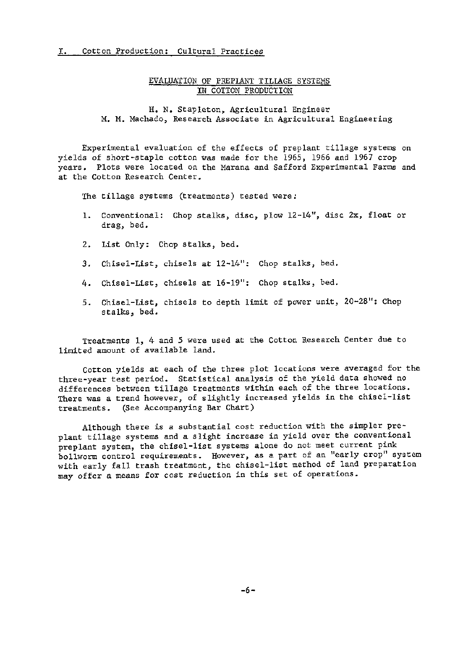## r. Cotton Production: Cultural Practices

## EVALUATION OF PREPLANT TILLAGE SYSTEMS IN COTTON PRODUCTION

H. N. Stapleton, Agricultural Engineer M. M. Machado, Research Associate in Agricultural Engineering

Experimental evaluation of the effects of preplant tillage systems on yields of short-staple cotton was made for the 1965, 1966 and 1967 crop years. Plots were located on the Marana and Safford Experimental Farms and at the Cotton Research Center.

The tillage systems (treatments) tested were:

- 1. Conventional: Chop stalks, disc, plow 12-14", disc 2x, float or drag, bed.
- 2. List Only: Chop stalks, bed.
- 3. Chisel-List, chisels at 12-14": Chop stalks, bed.
- 4. Chisel-List, chisels at 16-19": Chop stalks, bed.
- 5. Chisel-List, chisels to depth limit of power unit, 20-28": Chop stalks, bed.

Treatments 1, 4 and 5 were used at the Cotton Research Center due to limited amount of available land.

Cotton yields at each of the three plot locations were averaged for the three-year test period. Statistical analysis of the yield data showed no differences between tillage treatments within each of the three locations. There was a trend however, of slightly increased yields in the chisel-list treatments. (See Accompanying Bar Chart)

Although there is a substantial cost reduction with the simpler pre~ plant tillage systems and a slight increase in yield over the conventional preplant system, the chisel-list systems alone do not meet current pink bollworm control requirements. However, as a part of an "early crop" system with early fall trash treatment, the chisel-list method of land preparation may offer a means for cost reduction in this set of operations.